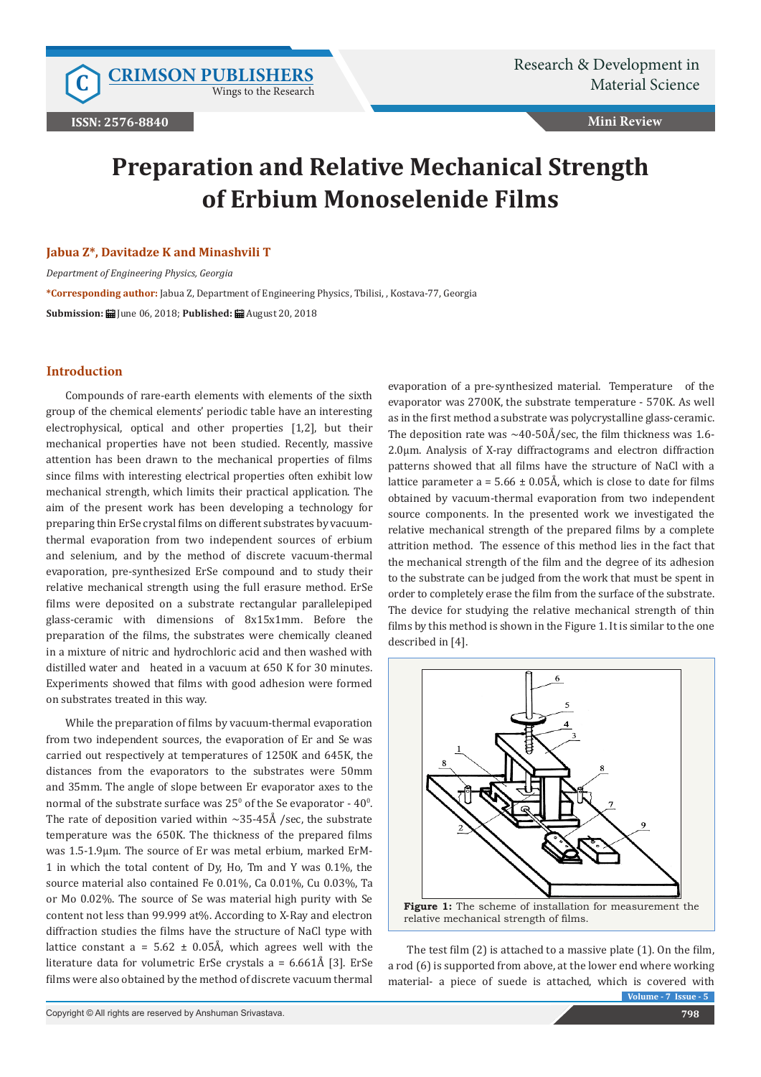Wings to the Research

**Mini Review**

# **Preparation and Relative Mechanical Strength of Erbium Monoselenide Films**

#### **Jabua Z\*, Davitadze K and Minashvili T**

*Department of Engineering Physics, Georgia* **\*Corresponding author:** Jabua Z, Department of Engineering Physics, Tbilisi, , Kostava-77, Georgia **Submission:** June 06, 2018; **Published:** August 20, 2018

## **Introduction**

Compounds of rare-earth elements with elements of the sixth group of the chemical elements' periodic table have an interesting electrophysical, optical and other properties [1,2], but their mechanical properties have not been studied. Recently, massive attention has been drawn to the mechanical properties of films since films with interesting electrical properties often exhibit low mechanical strength, which limits their practical application. The aim of the present work has been developing a technology for preparing thin ErSe crystal films on different substrates by vacuumthermal evaporation from two independent sources of erbium and selenium, and by the method of discrete vacuum-thermal evaporation, pre-synthesized ErSe compound and to study their relative mechanical strength using the full erasure method. ErSe films were deposited on a substrate rectangular parallelepiped glass-ceramic with dimensions of 8x15x1mm. Before the preparation of the films, the substrates were chemically cleaned in a mixture of nitric and hydrochloric acid and then washed with distilled water and heated in a vacuum at 650 K for 30 minutes. Experiments showed that films with good adhesion were formed on substrates treated in this way.

While the preparation of films by vacuum-thermal evaporation from two independent sources, the evaporation of Er and Se was carried out respectively at temperatures of 1250K and 645K, the distances from the evaporators to the substrates were 50mm and 35mm. The angle of slope between Er evaporator axes to the normal of the substrate surface was  $25^{\circ}$  of the Se evaporator -  $40^{\circ}$ . The rate of deposition varied within ∼35-45Å /sec, the substrate temperature was the 650K. The thickness of the prepared films was 1.5-1.9μm. The source of Er was metal erbium, marked ErM-1 in which the total content of Dy, Ho, Tm and Y was 0.1%, the source material also contained Fe 0.01%, Ca 0.01%, Cu 0.03%, Ta or Mo 0.02%. The source of Se was material high purity with Se content not less than 99.999 at%. According to X-Ray and electron diffraction studies the films have the structure of NaCl type with lattice constant  $a = 5.62 \pm 0.05$ Å, which agrees well with the literature data for volumetric ErSe crystals  $a = 6.661\text{\AA}$  [3]. ErSe films were also obtained by the method of discrete vacuum thermal

evaporation of a pre-synthesized material. Temperature of the evaporator was 2700K, the substrate temperature - 570K. As well as in the first method a substrate was polycrystalline glass-ceramic. The deposition rate was ∼40-50Å/sec, the film thickness was 1.6- 2.0μm. Analysis of X-ray diffractograms and electron diffraction patterns showed that all films have the structure of NaCl with a lattice parameter a =  $5.66 \pm 0.05$ Å, which is close to date for films obtained by vacuum-thermal evaporation from two independent source components. In the presented work we investigated the relative mechanical strength of the prepared films by a complete attrition method. The essence of this method lies in the fact that the mechanical strength of the film and the degree of its adhesion to the substrate can be judged from the work that must be spent in order to completely erase the film from the surface of the substrate. The device for studying the relative mechanical strength of thin films by this method is shown in the Figure 1. It is similar to the one described in [4].



**Volume - 7 Issue - 5** The test film (2) is attached to a massive plate (1). On the film, a rod (6) is supported from above, at the lower end where working material- a piece of suede is attached, which is covered with